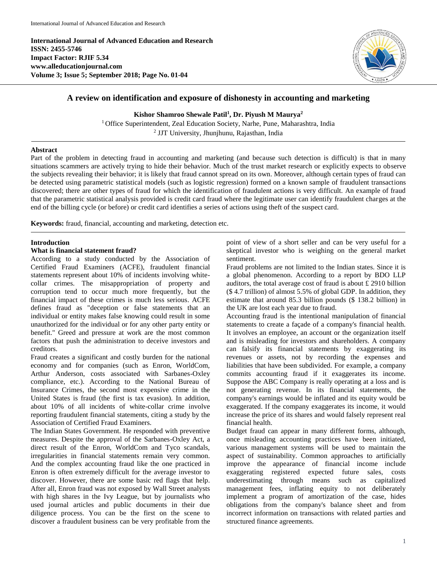**International Journal of Advanced Education and Research ISSN: 2455-5746 Impact Factor: RJIF 5.34 www.alleducationjournal.com Volume 3; Issue 5; September 2018; Page No. 01-04**



# **A review on identification and exposure of dishonesty in accounting and marketing**

**Kishor Shamroo Shewale Patil<sup>1</sup> , Dr. Piyush M Maurya<sup>2</sup>**

<sup>1</sup> Office Superintendent, Zeal Education Society, Narhe, Pune, Maharashtra, India 2 JJT University, Jhunjhunu, Rajasthan, India

#### **Abstract**

Part of the problem in detecting fraud in accounting and marketing (and because such detection is difficult) is that in many situations scammers are actively trying to hide their behavior. Much of the trust market research or explicitly expects to observe the subjects revealing their behavior; it is likely that fraud cannot spread on its own. Moreover, although certain types of fraud can be detected using parametric statistical models (such as logistic regression) formed on a known sample of fraudulent transactions discovered; there are other types of fraud for which the identification of fraudulent actions is very difficult. An example of fraud that the parametric statistical analysis provided is credit card fraud where the legitimate user can identify fraudulent charges at the end of the billing cycle (or before) or credit card identifies a series of actions using theft of the suspect card.

**Keywords:** fraud, financial, accounting and marketing, detection etc.

#### **Introduction**

### **What is financial statement fraud?**

According to a study conducted by the Association of Certified Fraud Examiners (ACFE), fraudulent financial statements represent about 10% of incidents involving whitecollar crimes. The misappropriation of property and corruption tend to occur much more frequently, but the financial impact of these crimes is much less serious. ACFE defines fraud as "deception or false statements that an individual or entity makes false knowing could result in some unauthorized for the individual or for any other party entity or benefit." Greed and pressure at work are the most common factors that push the administration to deceive investors and creditors.

Fraud creates a significant and costly burden for the national economy and for companies (such as Enron, WorldCom, Arthur Anderson, costs associated with Sarbanes-Oxley compliance, etc.). According to the National Bureau of Insurance Crimes, the second most expensive crime in the United States is fraud (the first is tax evasion). In addition, about 10% of all incidents of white-collar crime involve reporting fraudulent financial statements, citing a study by the Association of Certified Fraud Examiners.

The Indian States Government. He responded with preventive measures. Despite the approval of the Sarbanes-Oxley Act, a direct result of the Enron, WorldCom and Tyco scandals, irregularities in financial statements remain very common. And the complex accounting fraud like the one practiced in Enron is often extremely difficult for the average investor to discover. However, there are some basic red flags that help. After all, Enron fraud was not exposed by Wall Street analysts with high shares in the Ivy League, but by journalists who used journal articles and public documents in their due diligence process. You can be the first on the scene to discover a fraudulent business can be very profitable from the point of view of a short seller and can be very useful for a skeptical investor who is weighing on the general market sentiment.

Fraud problems are not limited to the Indian states. Since it is a global phenomenon. According to a report by BDO LLP auditors, the total average cost of fraud is about £ 2910 billion (\$ 4.7 trillion) of almost 5.5% of global GDP. In addition, they estimate that around 85.3 billion pounds (\$ 138.2 billion) in the UK are lost each year due to fraud.

Accounting fraud is the intentional manipulation of financial statements to create a façade of a company's financial health. It involves an employee, an account or the organization itself and is misleading for investors and shareholders. A company can falsify its financial statements by exaggerating its revenues or assets, not by recording the expenses and liabilities that have been subdivided. For example, a company commits accounting fraud if it exaggerates its income. Suppose the ABC Company is really operating at a loss and is not generating revenue. In its financial statements, the company's earnings would be inflated and its equity would be exaggerated. If the company exaggerates its income, it would increase the price of its shares and would falsely represent real financial health.

Budget fraud can appear in many different forms, although, once misleading accounting practices have been initiated, various management systems will be used to maintain the aspect of sustainability. Common approaches to artificially improve the appearance of financial income include exaggerating registered expected future sales, costs underestimating through means such as capitalized management fees, inflating equity to not deliberately implement a program of amortization of the case, hides obligations from the company's balance sheet and from incorrect information on transactions with related parties and structured finance agreements.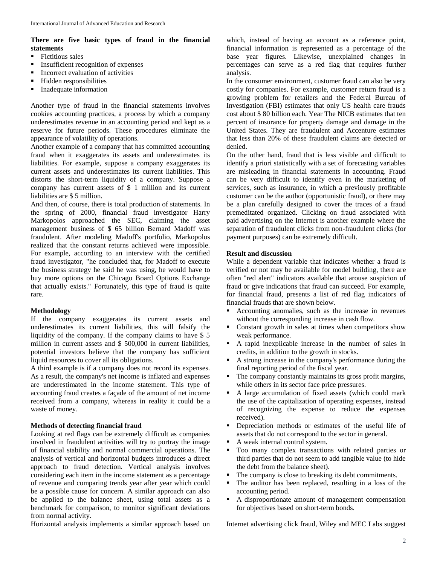## **There are five basic types of fraud in the financial statements**

- Fictitious sales
- Insufficient recognition of expenses
- **Incorrect evaluation of activities**
- Hidden responsibilities
- Inadequate information

Another type of fraud in the financial statements involves cookies accounting practices, a process by which a company underestimates revenue in an accounting period and kept as a reserve for future periods. These procedures eliminate the appearance of volatility of operations.

Another example of a company that has committed accounting fraud when it exaggerates its assets and underestimates its liabilities. For example, suppose a company exaggerates its current assets and underestimates its current liabilities. This distorts the short-term liquidity of a company. Suppose a company has current assets of \$ 1 million and its current liabilities are \$ 5 million.

And then, of course, there is total production of statements. In the spring of 2000, financial fraud investigator Harry Markopolos approached the SEC, claiming the asset management business of \$ 65 billion Bernard Madoff was fraudulent. After modeling Madoff's portfolio, Markopolos realized that the constant returns achieved were impossible. For example, according to an interview with the certified fraud investigator, "he concluded that, for Madoff to execute the business strategy he said he was using, he would have to buy more options on the Chicago Board Options Exchange that actually exists." Fortunately, this type of fraud is quite rare.

#### **Methodology**

If the company exaggerates its current assets and underestimates its current liabilities, this will falsify the liquidity of the company. If the company claims to have \$ 5 million in current assets and \$ 500,000 in current liabilities, potential investors believe that the company has sufficient liquid resources to cover all its obligations.

A third example is if a company does not record its expenses. As a result, the company's net income is inflated and expenses are underestimated in the income statement. This type of accounting fraud creates a façade of the amount of net income received from a company, whereas in reality it could be a waste of money.

#### **Methods of detecting financial fraud**

Looking at red flags can be extremely difficult as companies involved in fraudulent activities will try to portray the image of financial stability and normal commercial operations. The analysis of vertical and horizontal budgets introduces a direct approach to fraud detection. Vertical analysis involves considering each item in the income statement as a percentage of revenue and comparing trends year after year which could be a possible cause for concern. A similar approach can also be applied to the balance sheet, using total assets as a benchmark for comparison, to monitor significant deviations from normal activity.

Horizontal analysis implements a similar approach based on

which, instead of having an account as a reference point, financial information is represented as a percentage of the base year figures. Likewise, unexplained changes in percentages can serve as a red flag that requires further analysis.

In the consumer environment, customer fraud can also be very costly for companies. For example, customer return fraud is a growing problem for retailers and the Federal Bureau of Investigation (FBI) estimates that only US health care frauds cost about \$ 80 billion each. Year The NICB estimates that ten percent of insurance for property damage and damage in the United States. They are fraudulent and Accenture estimates that less than 20% of these fraudulent claims are detected or denied.

On the other hand, fraud that is less visible and difficult to identify a priori statistically with a set of forecasting variables are misleading in financial statements in accounting. Fraud can be very difficult to identify even in the marketing of services, such as insurance, in which a previously profitable customer can be the author (opportunistic fraud), or there may be a plan carefully designed to cover the traces of a fraud premeditated organized. Clicking on fraud associated with paid advertising on the Internet is another example where the separation of fraudulent clicks from non-fraudulent clicks (for payment purposes) can be extremely difficult.

#### **Result and discussion**

While a dependent variable that indicates whether a fraud is verified or not may be available for model building, there are often "red alert" indicators available that arouse suspicion of fraud or give indications that fraud can succeed. For example, for financial fraud, presents a list of red flag indicators of financial frauds that are shown below.

- Accounting anomalies, such as the increase in revenues without the corresponding increase in cash flow.
- Constant growth in sales at times when competitors show weak performance.
- A rapid inexplicable increase in the number of sales in credits, in addition to the growth in stocks.
- A strong increase in the company's performance during the final reporting period of the fiscal year.
- The company constantly maintains its gross profit margins, while others in its sector face price pressures.
- A large accumulation of fixed assets (which could mark the use of the capitalization of operating expenses, instead of recognizing the expense to reduce the expenses received).
- Depreciation methods or estimates of the useful life of assets that do not correspond to the sector in general.
- A weak internal control system.
- Too many complex transactions with related parties or third parties that do not seem to add tangible value (to hide the debt from the balance sheet).
- The company is close to breaking its debt commitments.
- The auditor has been replaced, resulting in a loss of the accounting period.
- A disproportionate amount of management compensation for objectives based on short-term bonds.

Internet advertising click fraud, Wiley and MEC Labs suggest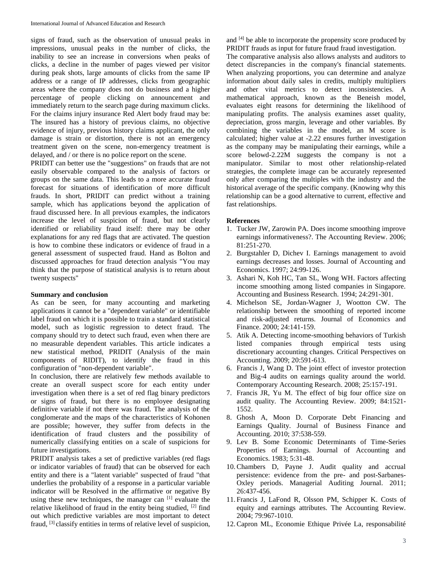signs of fraud, such as the observation of unusual peaks in impressions, unusual peaks in the number of clicks, the inability to see an increase in conversions when peaks of clicks, a decline in the number of pages viewed per visitor during peak shots, large amounts of clicks from the same IP address or a range of IP addresses, clicks from geographic areas where the company does not do business and a higher percentage of people clicking on announcement and immediately return to the search page during maximum clicks. For the claims injury insurance Red Alert body fraud may be: The insured has a history of previous claims, no objective evidence of injury, previous history claims applicant, the only damage is strain or distortion, there is not an emergency treatment given on the scene, non-emergency treatment is delayed, and / or there is no police report on the scene.

PRIDIT can better use the "suggestions" on frauds that are not easily observable compared to the analysis of factors or groups on the same data. This leads to a more accurate fraud forecast for situations of identification of more difficult frauds. In short, PRIDIT can predict without a training sample, which has applications beyond the application of fraud discussed here. In all previous examples, the indicators increase the level of suspicion of fraud, but not clearly identified or reliability fraud itself: there may be other explanations for any red flags that are activated. The question is how to combine these indicators or evidence of fraud in a general assessment of suspected fraud. Hand as Bolton and discussed approaches for fraud detection analysis "You may think that the purpose of statistical analysis is to return about twenty suspects"

#### **Summary and conclusion**

As can be seen, for many accounting and marketing applications it cannot be a "dependent variable" or identifiable label fraud on which it is possible to train a standard statistical model, such as logistic regression to detect fraud. The company should try to detect such fraud, even when there are no measurable dependent variables. This article indicates a new statistical method, PRIDIT (Analysis of the main components of RIDIT), to identify the fraud in this configuration of "non-dependent variable".

In conclusion, there are relatively few methods available to create an overall suspect score for each entity under investigation when there is a set of red flag binary predictors or signs of fraud, but there is no employee designating definitive variable if not there was fraud. The analysis of the conglomerate and the maps of the characteristics of Kohonen are possible; however, they suffer from defects in the identification of fraud clusters and the possibility of numerically classifying entities on a scale of suspicions for future investigations.

PRIDIT analysis takes a set of predictive variables (red flags or indicator variables of fraud) that can be observed for each entity and there is a "latent variable" suspected of fraud "that underlies the probability of a response in a particular variable indicator will be Resolved in the affirmative or negative By using these new techniques, the manager can [1] evaluate the relative likelihood of fraud in the entity being studied, <sup>[2]</sup> find out which predictive variables are most important to detect fraud, <sup>[3]</sup> classify entities in terms of relative level of suspicion,

and [4] be able to incorporate the propensity score produced by PRIDIT frauds as input for future fraud fraud investigation.

The comparative analysis also allows analysts and auditors to detect discrepancies in the company's financial statements. When analyzing proportions, you can determine and analyze information about daily sales in credits, multiply multipliers and other vital metrics to detect inconsistencies. A mathematical approach, known as the Beneish model, evaluates eight reasons for determining the likelihood of manipulating profits. The analysis examines asset quality, depreciation, gross margin, leverage and other variables. By combining the variables in the model, an M score is calculated; higher value at -2.22 ensures further investigation as the company may be manipulating their earnings, while a score belowd-2.22M suggests the company is not a manipulator. Similar to most other relationship-related strategies, the complete image can be accurately represented only after comparing the multiples with the industry and the historical average of the specific company. (Knowing why this relationship can be a good alternative to current, effective and fast relationships.

#### **References**

- 1. Tucker JW, Zarowin PA. Does income smoothing improve earnings informativeness?. The Accounting Review. 2006; 81:251-270.
- 2. Burgstahler D, Dichev I. Earnings management to avoid earnings decreases and losses. Journal of Accounting and Economics. 1997; 24:99-126.
- 3. Ashari N, Koh HC, Tan SL, Wong WH. Factors affecting income smoothing among listed companies in Singapore. Accounting and Business Research. 1994; 24:291-301.
- 4. Michelson SE, Jordan-Wagner J, Wootton CW. The relationship between the smoothing of reported income and risk-adjusted returns. Journal of Economics and Finance. 2000; 24:141-159.
- 5. Atik A. Detecting income-smoothing behaviors of Turkish listed companies through empirical tests using discretionary accounting changes. Critical Perspectives on Accounting. 2009; 20:591-613.
- 6. Francis J, Wang D. The joint effect of investor protection and Big-4 audits on earnings quality around the world. Contemporary Accounting Research. 2008; 25:157-191.
- 7. Francis JR, Yu M. The effect of big four office size on audit quality. The Accounting Review. 2009; 84:1521- 1552.
- 8. Ghosh A, Moon D. Corporate Debt Financing and Earnings Quality. Journal of Business Finance and Accounting. 2010; 37:538-559.
- 9. Lev B. Some Economic Determinants of Time-Series Properties of Earnings. Journal of Accounting and Economics. 1983; 5:31-48.
- 10.Chambers D, Payne J. Audit quality and accrual persistence: evidence from the pre- and post-Sarbanes-Oxley periods. Managerial Auditing Journal. 2011; 26:437-456.
- 11. Francis J, LaFond R, Olsson PM, Schipper K. Costs of equity and earnings attributes. The Accounting Review. 2004; 79:967-1010.
- 12.Capron ML, Economie Ethique Privée La, responsabilité